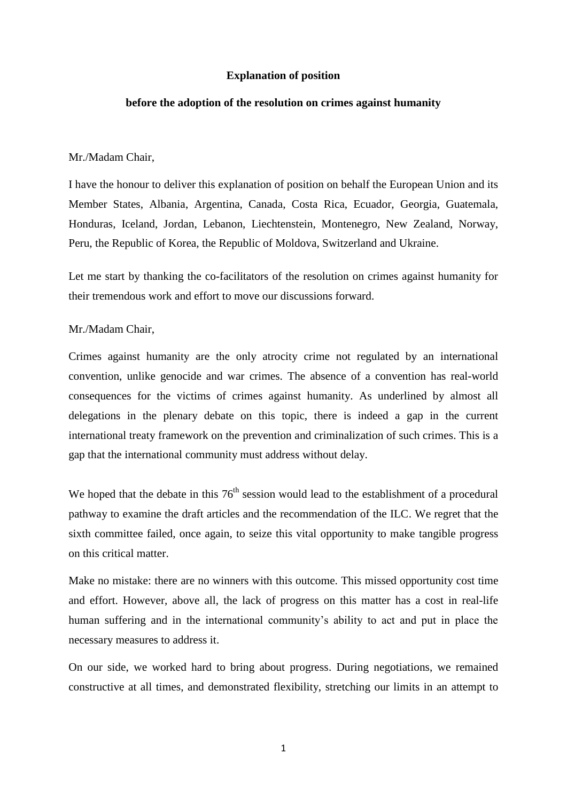## **Explanation of position**

# **before the adoption of the resolution on crimes against humanity**

#### Mr./Madam Chair,

I have the honour to deliver this explanation of position on behalf the European Union and its Member States, Albania, Argentina, Canada, Costa Rica, Ecuador, Georgia, Guatemala, Honduras, Iceland, Jordan, Lebanon, Liechtenstein, Montenegro, New Zealand, Norway, Peru, the Republic of Korea, the Republic of Moldova, Switzerland and Ukraine.

Let me start by thanking the co-facilitators of the resolution on crimes against humanity for their tremendous work and effort to move our discussions forward.

# Mr./Madam Chair,

Crimes against humanity are the only atrocity crime not regulated by an international convention, unlike genocide and war crimes. The absence of a convention has real-world consequences for the victims of crimes against humanity. As underlined by almost all delegations in the plenary debate on this topic, there is indeed a gap in the current international treaty framework on the prevention and criminalization of such crimes. This is a gap that the international community must address without delay.

We hoped that the debate in this  $76<sup>th</sup>$  session would lead to the establishment of a procedural pathway to examine the draft articles and the recommendation of the ILC. We regret that the sixth committee failed, once again, to seize this vital opportunity to make tangible progress on this critical matter.

Make no mistake: there are no winners with this outcome. This missed opportunity cost time and effort. However, above all, the lack of progress on this matter has a cost in real-life human suffering and in the international community's ability to act and put in place the necessary measures to address it.

On our side, we worked hard to bring about progress. During negotiations, we remained constructive at all times, and demonstrated flexibility, stretching our limits in an attempt to